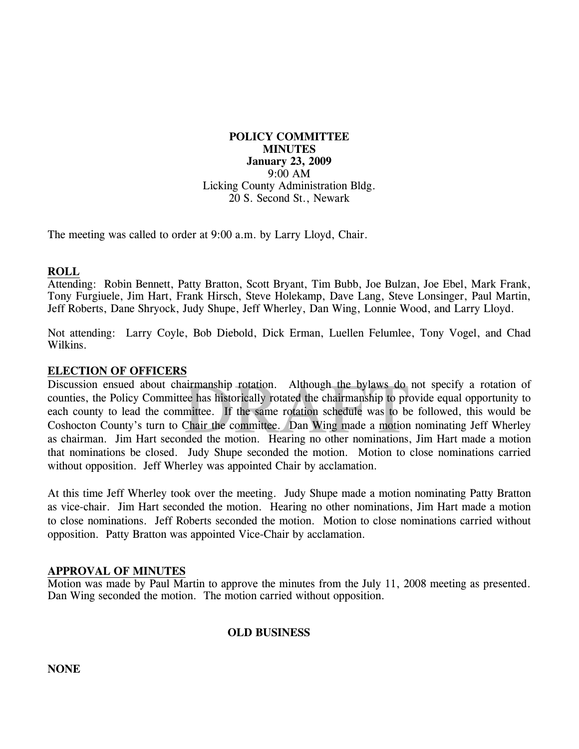**POLICY COMMITTEE MINUTES January 23, 2009**  9:00 AM Licking County Administration Bldg. 20 S. Second St., Newark

The meeting was called to order at 9:00 a.m. by Larry Lloyd, Chair.

#### **ROLL**

Attending: Robin Bennett, Patty Bratton, Scott Bryant, Tim Bubb, Joe Bulzan, Joe Ebel, Mark Frank, Tony Furgiuele, Jim Hart, Frank Hirsch, Steve Holekamp, Dave Lang, Steve Lonsinger, Paul Martin, Jeff Roberts, Dane Shryock, Judy Shupe, Jeff Wherley, Dan Wing, Lonnie Wood, and Larry Lloyd.

Not attending: Larry Coyle, Bob Diebold, Dick Erman, Luellen Felumlee, Tony Vogel, and Chad Wilkins.

#### **ELECTION OF OFFICERS**

airmanship rotation. Although the bylaws do<br>ee has historically rotated the chairmanship to pre<br>mittee. If the same rotation schedule was to be<br>Chair the committee. Dan Wing made a motion<br>ded the motion. Hearing no other n Discussion ensued about chairmanship rotation. Although the bylaws do not specify a rotation of counties, the Policy Committee has historically rotated the chairmanship to provide equal opportunity to each county to lead the committee. If the same rotation schedule was to be followed, this would be Coshocton County's turn to Chair the committee. Dan Wing made a motion nominating Jeff Wherley as chairman. Jim Hart seconded the motion. Hearing no other nominations, Jim Hart made a motion that nominations be closed. Judy Shupe seconded the motion. Motion to close nominations carried without opposition. Jeff Wherley was appointed Chair by acclamation.

At this time Jeff Wherley took over the meeting. Judy Shupe made a motion nominating Patty Bratton as vice-chair. Jim Hart seconded the motion. Hearing no other nominations, Jim Hart made a motion to close nominations. Jeff Roberts seconded the motion. Motion to close nominations carried without opposition. Patty Bratton was appointed Vice-Chair by acclamation.

#### **APPROVAL OF MINUTES**

Motion was made by Paul Martin to approve the minutes from the July 11, 2008 meeting as presented. Dan Wing seconded the motion. The motion carried without opposition.

### **OLD BUSINESS**

**NONE**